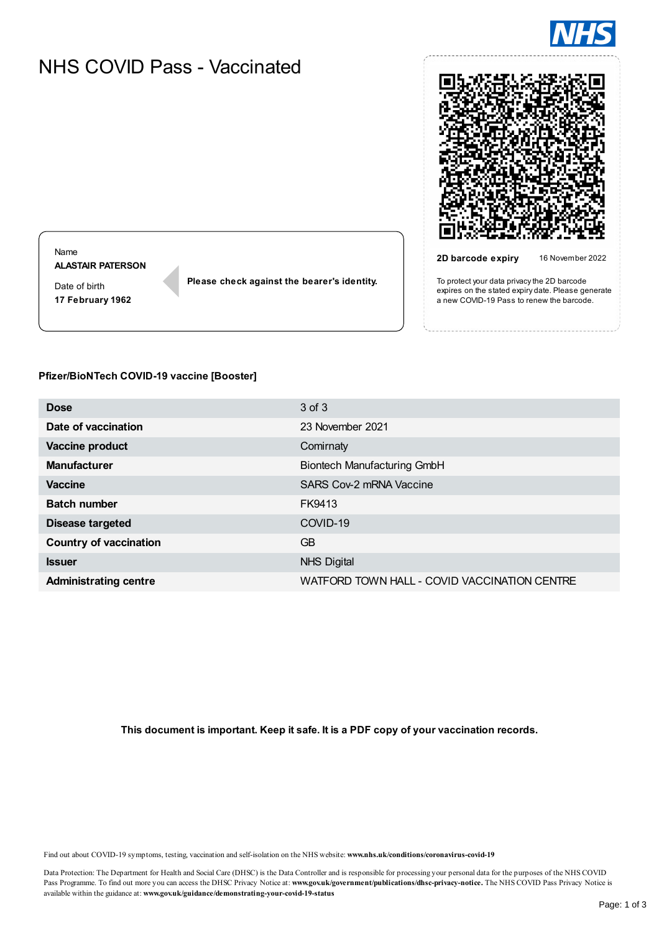

# NHS COVID Pass - Vaccinated



**2D barcode expiry** 16 November 2022

To protect your data privacythe 2D barcode expires on the stated expiry date. Please generate a new COVID-19 Pass to renew the barcode.

Name **ALASTAIR PATERSON**

Date of birth **17 February 1962** **Please check against the bearer's identity.**

### **Pfizer/BioNTech COVID-19 vaccine [Booster]**

| <b>Dose</b>                   | 3 of 3                                       |
|-------------------------------|----------------------------------------------|
| Date of vaccination           | 23 November 2021                             |
| Vaccine product               | Comirnaty                                    |
| <b>Manufacturer</b>           | <b>Biontech Manufacturing GmbH</b>           |
| <b>Vaccine</b>                | SARS Cov-2 mRNA Vaccine                      |
| <b>Batch number</b>           | FK9413                                       |
| <b>Disease targeted</b>       | COVID-19                                     |
| <b>Country of vaccination</b> | GB                                           |
| <b>Issuer</b>                 | <b>NHS Digital</b>                           |
| <b>Administrating centre</b>  | WATFORD TOWN HALL - COVID VACCINATION CENTRE |

**This document is important. Keep it safe. It is a PDF copy of your vaccination records.**

Find out about COVID-19 symptoms, testing, vaccination and self-isolation on the NHS website: **www.nhs.uk/conditions/coronavirus-covid-19**

Data Protection: The Department for Health and Social Care (DHSC) is the Data Controller and is responsible for processingyour personal data for the purposes of the NHS COVID Pass Programme. To find out more you can access the DHSC Privacy Notice at: www.gov.uk/government/publications/dhsc-privacy-notice. The NHS COVID Pass Privacy Notice is available within the guidance at: **www.gov.uk/guidance/demonstrating-your-covid-19-status**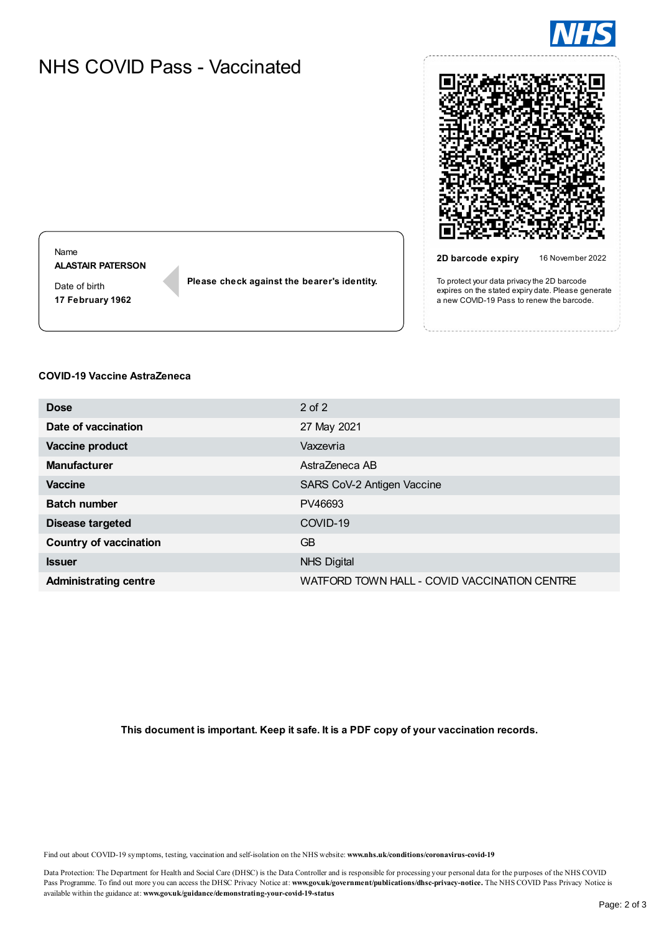

# NHS COVID Pass - Vaccinated



**2D barcode expiry** 16 November 2022

To protect your data privacythe 2D barcode expires on the stated expiry date. Please generate a new COVID-19 Pass to renew the barcode.

Name **ALASTAIR PATERSON**

Date of birth **17 February 1962** **Please check against the bearer's identity.**

### **COVID-19 Vaccine AstraZeneca**

| <b>Dose</b>                   | $2$ of $2$                                   |
|-------------------------------|----------------------------------------------|
| Date of vaccination           | 27 May 2021                                  |
| Vaccine product               | Vaxzevria                                    |
| <b>Manufacturer</b>           | AstraZeneca AB                               |
| <b>Vaccine</b>                | SARS CoV-2 Antigen Vaccine                   |
| <b>Batch number</b>           | PV46693                                      |
| <b>Disease targeted</b>       | COVID-19                                     |
| <b>Country of vaccination</b> | GB                                           |
| <b>Issuer</b>                 | <b>NHS Digital</b>                           |
| <b>Administrating centre</b>  | WATFORD TOWN HALL - COVID VACCINATION CENTRE |

**This document is important. Keep it safe. It is a PDF copy of your vaccination records.**

Find out about COVID-19 symptoms, testing, vaccination and self-isolation on the NHS website: **www.nhs.uk/conditions/coronavirus-covid-19**

Data Protection: The Department for Health and Social Care (DHSC) is the Data Controller and is responsible for processingyour personal data for the purposes of the NHS COVID Pass Programme. To find out more you can access the DHSC Privacy Notice at: www.gov.uk/government/publications/dhsc-privacy-notice. The NHS COVID Pass Privacy Notice is available within the guidance at: **www.gov.uk/guidance/demonstrating-your-covid-19-status**